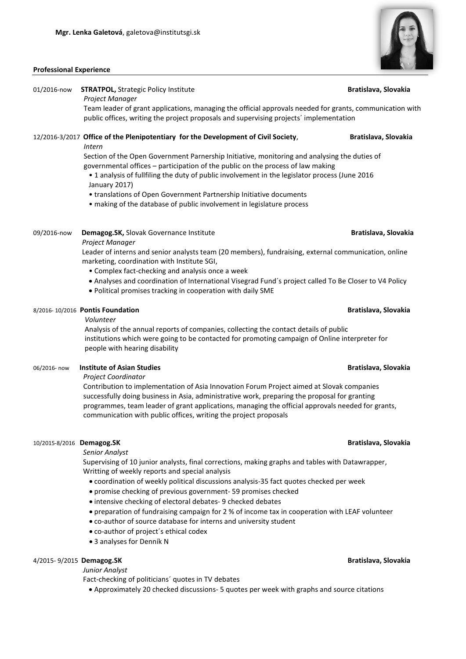### **Professional Experience**

# 01/2016-now **STRATPOL,** Strategic Policy Institute **Bratislava, Slovakia**  *Project Manager*

 Team leader of grant applications, managing the official approvals needed for grants, communication with public offices, writing the project proposals and supervising projects´ implementation

## 12/2016-3/2017 **Office of the Plenipotentiary for the Development of Civil Society**, **Bratislava, Slovakia**  *Intern*

 Section of the Open Government Parnership Initiative, monitoring and analysing the duties of governmental offices – participation of the public on the process of law making

- 1 analysis of fullfiling the duty of public involvement in the legislator process (June 2016 January 2017)
- translations of Open Government Partnership Initiative documents
- making of the database of public involvement in legislature process

### 09/2016-now **Demagog.SK,** Slovak Governance Institute **Bratislava, Slovakia** *Bratislava***, Slovakia** *Project Manager*

Leader of interns and senior analysts team (20 members), fundraising, external communication, online marketing, coordination with Institute SGI,

- Complex fact-checking and analysis once a week
- Analyses and coordination of International Visegrad Fund´s project called To Be Closer to V4 Policy
- Political promises tracking in cooperation with daily SME

### 8/2016- 10/2016 **Pontis Foundation Bratislava, Slovakia**

### *Volunteer*

Analysis of the annual reports of companies, collecting the contact details of public institutions which were going to be contacted for promoting campaign of Online interpreter for people with hearing disability

### 06/2016- now **Institute of Asian Studies Bratislava, Slovakia**

*Project Coordinator*

Contribution to implementation of Asia Innovation Forum Project aimed at Slovak companies successfully doing business in Asia, administrative work, preparing the proposal for granting programmes, team leader of grant applications, managing the official approvals needed for grants, communication with public offices, writing the project proposals

### 10/2015-8/2016 **Demagog.SK Bratislava, Slovakia**

*Senior Analyst*

Supervising of 10 junior analysts, final corrections, making graphs and tables with Datawrapper, Writting of weekly reports and special analysis

- coordination of weekly political discussions analysis-35 fact quotes checked per week
- promise checking of previous government- 59 promises checked
- intensive checking of electoral debates- 9 checked debates
- preparation of fundraising campaign for 2 % of income tax in cooperation with LEAF volunteer
- co-author of source database for interns and university student
- co-author of project´s ethical codex
- 3 analyses for Denník N

### 4/2015- 9/2015 **Demagog.SK Bratislava, Slovakia**

*Junior Analyst*

Fact-checking of politicians´ quotes in TV debates

Approximately 20 checked discussions- 5 quotes per week with graphs and source citations